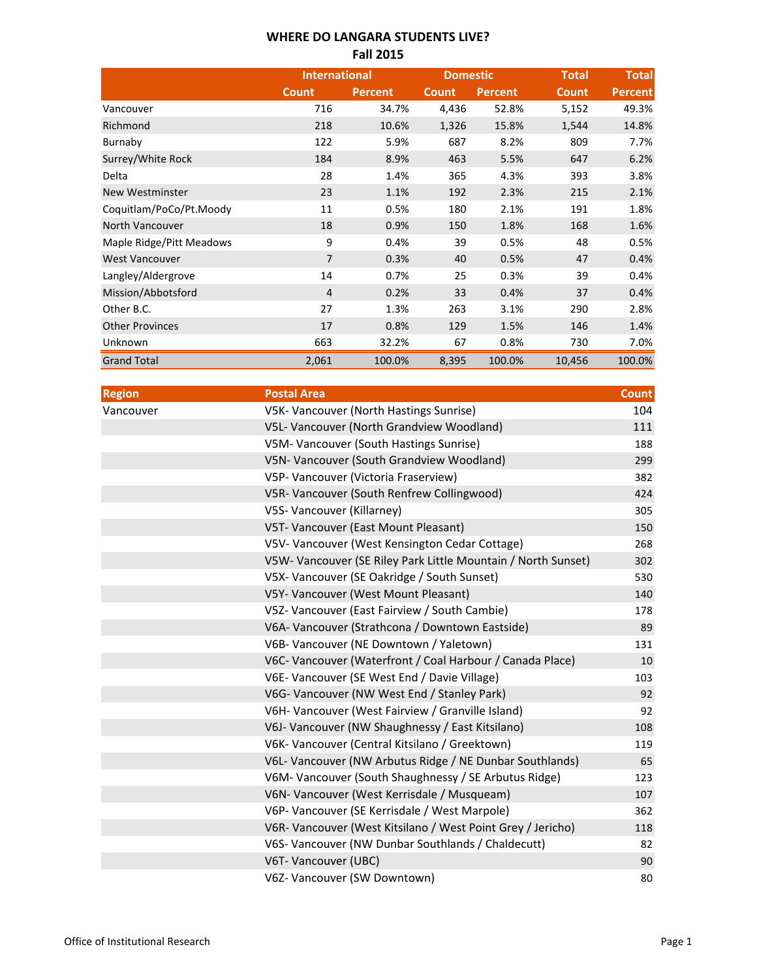### **WHERE DO LANGARA STUDENTS LIVE? Fall 2015**

|                          | <b>International</b> |         | <b>Domestic</b> |                | <b>Total</b> | <b>Total</b>   |
|--------------------------|----------------------|---------|-----------------|----------------|--------------|----------------|
|                          | <b>Count</b>         | Percent | <b>Count</b>    | <b>Percent</b> | <b>Count</b> | <b>Percent</b> |
| Vancouver                | 716                  | 34.7%   | 4,436           | 52.8%          | 5,152        | 49.3%          |
| Richmond                 | 218                  | 10.6%   | 1,326           | 15.8%          | 1,544        | 14.8%          |
| Burnaby                  | 122                  | 5.9%    | 687             | 8.2%           | 809          | 7.7%           |
| Surrey/White Rock        | 184                  | 8.9%    | 463             | 5.5%           | 647          | 6.2%           |
| Delta                    | 28                   | 1.4%    | 365             | 4.3%           | 393          | 3.8%           |
| <b>New Westminster</b>   | 23                   | 1.1%    | 192             | 2.3%           | 215          | 2.1%           |
| Coquitlam/PoCo/Pt.Moody  | 11                   | 0.5%    | 180             | 2.1%           | 191          | 1.8%           |
| North Vancouver          | 18                   | 0.9%    | 150             | 1.8%           | 168          | 1.6%           |
| Maple Ridge/Pitt Meadows | 9                    | 0.4%    | 39              | 0.5%           | 48           | 0.5%           |
| <b>West Vancouver</b>    | 7                    | 0.3%    | 40              | 0.5%           | 47           | 0.4%           |
| Langley/Aldergrove       | 14                   | 0.7%    | 25              | 0.3%           | 39           | 0.4%           |
| Mission/Abbotsford       | $\overline{4}$       | 0.2%    | 33              | 0.4%           | 37           | 0.4%           |
| Other B.C.               | 27                   | 1.3%    | 263             | 3.1%           | 290          | 2.8%           |
| <b>Other Provinces</b>   | 17                   | 0.8%    | 129             | 1.5%           | 146          | 1.4%           |
| Unknown                  | 663                  | 32.2%   | 67              | 0.8%           | 730          | 7.0%           |
| <b>Grand Total</b>       | 2,061                | 100.0%  | 8,395           | 100.0%         | 10,456       | 100.0%         |

| <b>Region</b> | <b>Postal Area</b>                                            | <b>Count</b> |
|---------------|---------------------------------------------------------------|--------------|
| Vancouver     | V5K- Vancouver (North Hastings Sunrise)                       | 104          |
|               | V5L- Vancouver (North Grandview Woodland)                     | 111          |
|               | V5M- Vancouver (South Hastings Sunrise)                       | 188          |
|               | V5N- Vancouver (South Grandview Woodland)                     | 299          |
|               | V5P- Vancouver (Victoria Fraserview)                          | 382          |
|               | V5R- Vancouver (South Renfrew Collingwood)                    | 424          |
|               | V5S- Vancouver (Killarney)                                    | 305          |
|               | V5T- Vancouver (East Mount Pleasant)                          | 150          |
|               | V5V- Vancouver (West Kensington Cedar Cottage)                | 268          |
|               | V5W- Vancouver (SE Riley Park Little Mountain / North Sunset) | 302          |
|               | V5X- Vancouver (SE Oakridge / South Sunset)                   | 530          |
|               | V5Y- Vancouver (West Mount Pleasant)                          | 140          |
|               | V5Z- Vancouver (East Fairview / South Cambie)                 | 178          |
|               | V6A- Vancouver (Strathcona / Downtown Eastside)               | 89           |
|               | V6B- Vancouver (NE Downtown / Yaletown)                       | 131          |
|               | V6C- Vancouver (Waterfront / Coal Harbour / Canada Place)     | 10           |
|               | V6E- Vancouver (SE West End / Davie Village)                  | 103          |
|               | V6G- Vancouver (NW West End / Stanley Park)                   | 92           |
|               | V6H- Vancouver (West Fairview / Granville Island)             | 92           |
|               | V6J- Vancouver (NW Shaughnessy / East Kitsilano)              | 108          |
|               | V6K- Vancouver (Central Kitsilano / Greektown)                | 119          |
|               | V6L- Vancouver (NW Arbutus Ridge / NE Dunbar Southlands)      | 65           |
|               | V6M- Vancouver (South Shaughnessy / SE Arbutus Ridge)         | 123          |
|               | V6N- Vancouver (West Kerrisdale / Musqueam)                   | 107          |
|               | V6P- Vancouver (SE Kerrisdale / West Marpole)                 | 362          |
|               | V6R- Vancouver (West Kitsilano / West Point Grey / Jericho)   | 118          |
|               | V6S- Vancouver (NW Dunbar Southlands / Chaldecutt)            | 82           |
|               | V6T- Vancouver (UBC)                                          | 90           |
|               | V6Z- Vancouver (SW Downtown)                                  | 80           |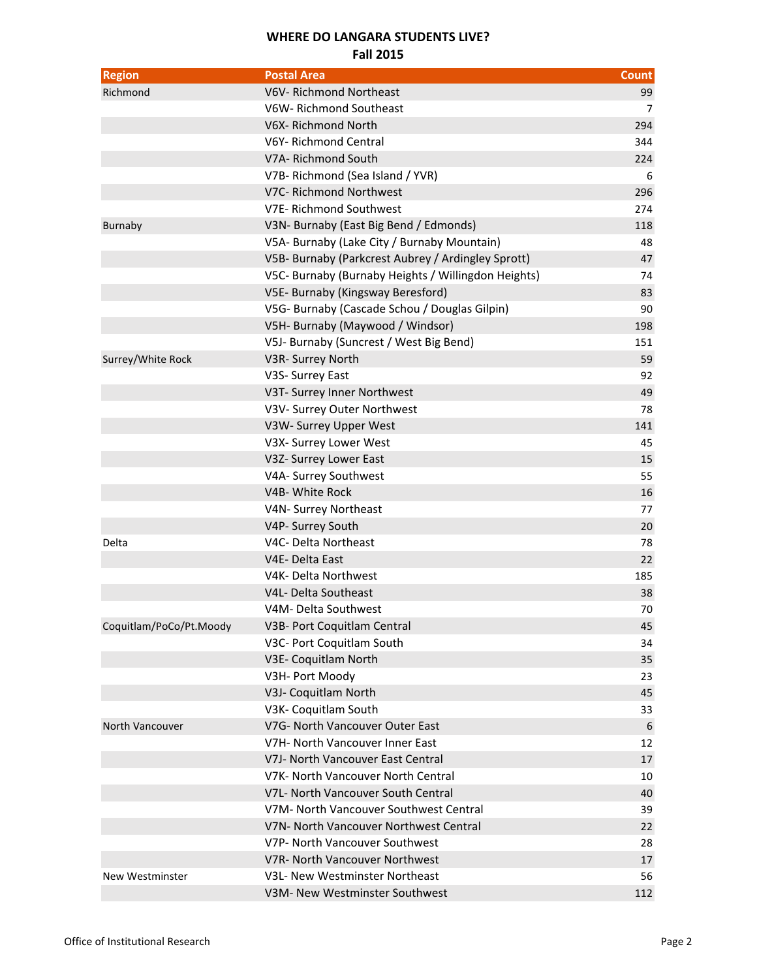## **WHERE DO LANGARA STUDENTS LIVE?**

#### **Fall 2015**

| <b>Region</b>           | <b>Postal Area</b>                                  | <b>Count</b> |
|-------------------------|-----------------------------------------------------|--------------|
| Richmond                | V6V-Richmond Northeast                              | 99           |
|                         | V6W-Richmond Southeast                              | 7            |
|                         | V6X-Richmond North                                  | 294          |
|                         | V6Y-Richmond Central                                | 344          |
|                         | V7A- Richmond South                                 | 224          |
|                         | V7B- Richmond (Sea Island / YVR)                    | 6            |
|                         | V7C- Richmond Northwest                             | 296          |
|                         | V7E-Richmond Southwest                              | 274          |
| <b>Burnaby</b>          | V3N- Burnaby (East Big Bend / Edmonds)              | 118          |
|                         | V5A- Burnaby (Lake City / Burnaby Mountain)         | 48           |
|                         | V5B- Burnaby (Parkcrest Aubrey / Ardingley Sprott)  | 47           |
|                         | V5C- Burnaby (Burnaby Heights / Willingdon Heights) | 74           |
|                         | V5E- Burnaby (Kingsway Beresford)                   | 83           |
|                         | V5G- Burnaby (Cascade Schou / Douglas Gilpin)       | 90           |
|                         | V5H- Burnaby (Maywood / Windsor)                    | 198          |
|                         | V5J- Burnaby (Suncrest / West Big Bend)             | 151          |
| Surrey/White Rock       | V3R- Surrey North                                   | 59           |
|                         | V3S- Surrey East                                    | 92           |
|                         | V3T- Surrey Inner Northwest                         | 49           |
|                         | V3V- Surrey Outer Northwest                         | 78           |
|                         | V3W- Surrey Upper West                              | 141          |
|                         | V3X- Surrey Lower West                              | 45           |
|                         | V3Z- Surrey Lower East                              | 15           |
|                         | V4A- Surrey Southwest                               | 55           |
|                         | V4B- White Rock                                     | 16           |
|                         | V4N- Surrey Northeast                               | 77           |
|                         | V4P- Surrey South                                   | 20           |
| Delta                   | V4C- Delta Northeast                                | 78           |
|                         | V4E-Delta East                                      | 22           |
|                         | V4K- Delta Northwest                                | 185          |
|                         | V4L- Delta Southeast                                | 38           |
|                         | V4M- Delta Southwest                                | 70           |
| Coquitlam/PoCo/Pt.Moody | V3B- Port Coquitlam Central                         | 45           |
|                         | V3C- Port Coquitlam South                           | 34           |
|                         | V3E- Coquitlam North                                | 35           |
|                         | V3H- Port Moody                                     | 23           |
|                         | V3J- Coquitlam North                                | 45           |
|                         | V3K- Coquitlam South                                | 33           |
| North Vancouver         | V7G- North Vancouver Outer East                     | 6            |
|                         | V7H- North Vancouver Inner East                     | 12           |
|                         | V7J- North Vancouver East Central                   | 17           |
|                         | V7K- North Vancouver North Central                  | 10           |
|                         | V7L- North Vancouver South Central                  | 40           |
|                         | V7M- North Vancouver Southwest Central              | 39           |
|                         | V7N- North Vancouver Northwest Central              | 22           |
|                         | V7P- North Vancouver Southwest                      | 28           |
|                         | V7R- North Vancouver Northwest                      | 17           |
| New Westminster         | V3L- New Westminster Northeast                      | 56           |
|                         | V3M- New Westminster Southwest                      | 112          |